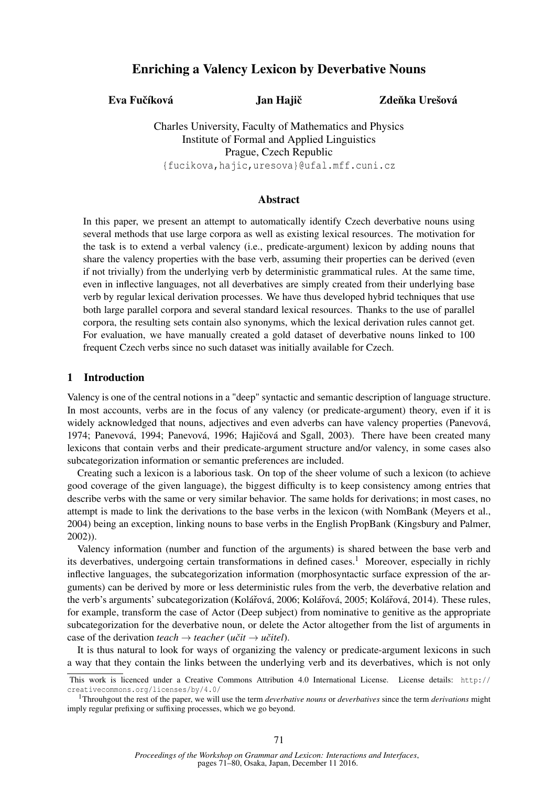# Enriching a Valency Lexicon by Deverbative Nouns

Eva Fučíková Jan Hajič

Zdeňka Urešová

Charles University, Faculty of Mathematics and Physics Institute of Formal and Applied Linguistics Prague, Czech Republic {fucikova,hajic,uresova}@ufal.mff.cuni.cz

# Abstract

In this paper, we present an attempt to automatically identify Czech deverbative nouns using several methods that use large corpora as well as existing lexical resources. The motivation for the task is to extend a verbal valency (i.e., predicate-argument) lexicon by adding nouns that share the valency properties with the base verb, assuming their properties can be derived (even if not trivially) from the underlying verb by deterministic grammatical rules. At the same time, even in inflective languages, not all deverbatives are simply created from their underlying base verb by regular lexical derivation processes. We have thus developed hybrid techniques that use both large parallel corpora and several standard lexical resources. Thanks to the use of parallel corpora, the resulting sets contain also synonyms, which the lexical derivation rules cannot get. For evaluation, we have manually created a gold dataset of deverbative nouns linked to 100 frequent Czech verbs since no such dataset was initially available for Czech.

# 1 Introduction

Valency is one of the central notions in a "deep" syntactic and semantic description of language structure. In most accounts, verbs are in the focus of any valency (or predicate-argument) theory, even if it is widely acknowledged that nouns, adjectives and even adverbs can have valency properties (Panevová, 1974; Panevová, 1994; Panevová, 1996; Hajičová and Sgall, 2003). There have been created many lexicons that contain verbs and their predicate-argument structure and/or valency, in some cases also subcategorization information or semantic preferences are included.

Creating such a lexicon is a laborious task. On top of the sheer volume of such a lexicon (to achieve good coverage of the given language), the biggest difficulty is to keep consistency among entries that describe verbs with the same or very similar behavior. The same holds for derivations; in most cases, no attempt is made to link the derivations to the base verbs in the lexicon (with NomBank (Meyers et al., 2004) being an exception, linking nouns to base verbs in the English PropBank (Kingsbury and Palmer, 2002)).

Valency information (number and function of the arguments) is shared between the base verb and its deverbatives, undergoing certain transformations in defined cases.<sup>1</sup> Moreover, especially in richly inflective languages, the subcategorization information (morphosyntactic surface expression of the arguments) can be derived by more or less deterministic rules from the verb, the deverbative relation and the verb's arguments' subcategorization (Kolářová, 2006; Kolářová, 2005; Kolářová, 2014). These rules, for example, transform the case of Actor (Deep subject) from nominative to genitive as the appropriate subcategorization for the deverbative noun, or delete the Actor altogether from the list of arguments in case of the derivation *teach*  $\rightarrow$  *teacher* (*učit*  $\rightarrow$  *učitel*).

It is thus natural to look for ways of organizing the valency or predicate-argument lexicons in such a way that they contain the links between the underlying verb and its deverbatives, which is not only

This work is licenced under a Creative Commons Attribution 4.0 International License. License details: http:// creativecommons.org/licenses/by/4.0/

<sup>1</sup>Throuhgout the rest of the paper, we will use the term *deverbative nouns* or *deverbatives* since the term *derivations* might imply regular prefixing or suffixing processes, which we go beyond.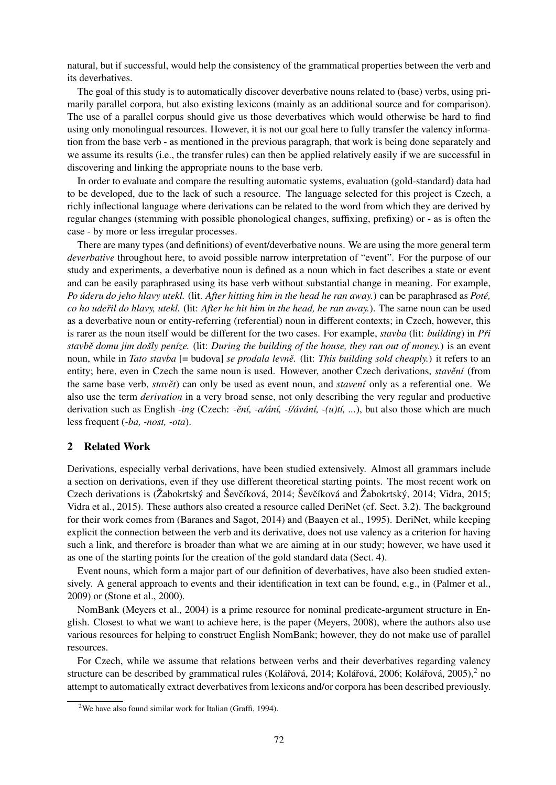natural, but if successful, would help the consistency of the grammatical properties between the verb and its deverbatives.

The goal of this study is to automatically discover deverbative nouns related to (base) verbs, using primarily parallel corpora, but also existing lexicons (mainly as an additional source and for comparison). The use of a parallel corpus should give us those deverbatives which would otherwise be hard to find using only monolingual resources. However, it is not our goal here to fully transfer the valency information from the base verb - as mentioned in the previous paragraph, that work is being done separately and we assume its results (i.e., the transfer rules) can then be applied relatively easily if we are successful in discovering and linking the appropriate nouns to the base verb.

In order to evaluate and compare the resulting automatic systems, evaluation (gold-standard) data had to be developed, due to the lack of such a resource. The language selected for this project is Czech, a richly inflectional language where derivations can be related to the word from which they are derived by regular changes (stemming with possible phonological changes, suffixing, prefixing) or - as is often the case - by more or less irregular processes.

There are many types (and definitions) of event/deverbative nouns. We are using the more general term *deverbative* throughout here, to avoid possible narrow interpretation of "event". For the purpose of our study and experiments, a deverbative noun is defined as a noun which in fact describes a state or event and can be easily paraphrased using its base verb without substantial change in meaning. For example, *Po úderu do jeho hlavy utekl.* (lit. *After hitting him in the head he ran away.*) can be paraphrased as *Poté, co ho udeˇril do hlavy, utekl.* (lit: *After he hit him in the head, he ran away.*). The same noun can be used as a deverbative noun or entity-referring (referential) noun in different contexts; in Czech, however, this is rarer as the noun itself would be different for the two cases. For example, *stavba* (lit: *building*) in *Pˇri stavbˇe domu jim došly peníze.* (lit: *During the building of the house, they ran out of money.*) is an event noun, while in *Tato stavba* [= budova] *se prodala levně*. (lit: *This building sold cheaply*.) it refers to an entity; here, even in Czech the same noun is used. However, another Czech derivations, *stavění* (from the same base verb, *stavět*) can only be used as event noun, and *stavení* only as a referential one. We also use the term *derivation* in a very broad sense, not only describing the very regular and productive derivation such as English *-ing* (Czech: *-ˇení, -a/ání, -í/ávání, -(u)tí, ...*), but also those which are much less frequent (*-ba, -nost, -ota*).

# 2 Related Work

Derivations, especially verbal derivations, have been studied extensively. Almost all grammars include a section on derivations, even if they use different theoretical starting points. The most recent work on Czech derivations is (Žabokrtský and Ševčíková, 2014; Ševčíková and Žabokrtský, 2014; Vidra, 2015; Vidra et al., 2015). These authors also created a resource called DeriNet (cf. Sect. 3.2). The background for their work comes from (Baranes and Sagot, 2014) and (Baayen et al., 1995). DeriNet, while keeping explicit the connection between the verb and its derivative, does not use valency as a criterion for having such a link, and therefore is broader than what we are aiming at in our study; however, we have used it as one of the starting points for the creation of the gold standard data (Sect. 4).

Event nouns, which form a major part of our definition of deverbatives, have also been studied extensively. A general approach to events and their identification in text can be found, e.g., in (Palmer et al., 2009) or (Stone et al., 2000).

NomBank (Meyers et al., 2004) is a prime resource for nominal predicate-argument structure in English. Closest to what we want to achieve here, is the paper (Meyers, 2008), where the authors also use various resources for helping to construct English NomBank; however, they do not make use of parallel resources.

For Czech, while we assume that relations between verbs and their deverbatives regarding valency structure can be described by grammatical rules (Kolářová, 2014; Kolářová, 2006; Kolářová, 2005), $^2$  no attempt to automatically extract deverbatives from lexicons and/or corpora has been described previously.

<sup>2</sup>We have also found similar work for Italian (Graffi, 1994).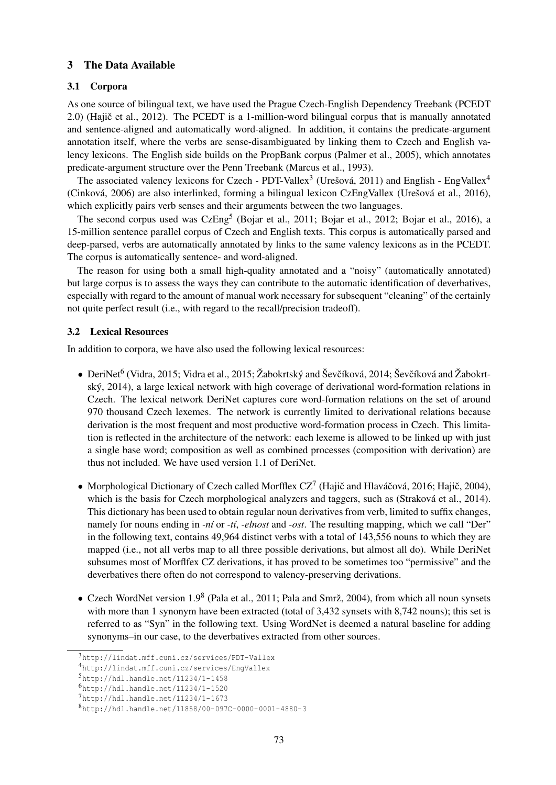# 3 The Data Available

## 3.1 Corpora

As one source of bilingual text, we have used the Prague Czech-English Dependency Treebank (PCEDT 2.0) (Hajič et al., 2012). The PCEDT is a 1-million-word bilingual corpus that is manually annotated and sentence-aligned and automatically word-aligned. In addition, it contains the predicate-argument annotation itself, where the verbs are sense-disambiguated by linking them to Czech and English valency lexicons. The English side builds on the PropBank corpus (Palmer et al., 2005), which annotates predicate-argument structure over the Penn Treebank (Marcus et al., 1993).

The associated valency lexicons for Czech - PDT-Vallex<sup>3</sup> (Urešová, 2011) and English - EngVallex<sup>4</sup> (Cinková, 2006) are also interlinked, forming a bilingual lexicon CzEngVallex (Urešová et al., 2016), which explicitly pairs verb senses and their arguments between the two languages.

The second corpus used was CzEng<sup>5</sup> (Bojar et al., 2011; Bojar et al., 2012; Bojar et al., 2016), a 15-million sentence parallel corpus of Czech and English texts. This corpus is automatically parsed and deep-parsed, verbs are automatically annotated by links to the same valency lexicons as in the PCEDT. The corpus is automatically sentence- and word-aligned.

The reason for using both a small high-quality annotated and a "noisy" (automatically annotated) but large corpus is to assess the ways they can contribute to the automatic identification of deverbatives, especially with regard to the amount of manual work necessary for subsequent "cleaning" of the certainly not quite perfect result (i.e., with regard to the recall/precision tradeoff).

### 3.2 Lexical Resources

In addition to corpora, we have also used the following lexical resources:

- DeriNet $^6$  (Vidra, 2015; Vidra et al., 2015; Žabokrtský and Ševčíková, 2014; Ševčíková and Žabokrtský, 2014), a large lexical network with high coverage of derivational word-formation relations in Czech. The lexical network DeriNet captures core word-formation relations on the set of around 970 thousand Czech lexemes. The network is currently limited to derivational relations because derivation is the most frequent and most productive word-formation process in Czech. This limitation is reflected in the architecture of the network: each lexeme is allowed to be linked up with just a single base word; composition as well as combined processes (composition with derivation) are thus not included. We have used version 1.1 of DeriNet.
- Morphological Dictionary of Czech called Morfflex  $CZ^7$  (Hajič and Hlaváčová, 2016; Hajič, 2004), which is the basis for Czech morphological analyzers and taggers, such as (Straková et al., 2014). This dictionary has been used to obtain regular noun derivatives from verb, limited to suffix changes, namely for nouns ending in *-ní* or *-tí*, *-elnost* and *-ost*. The resulting mapping, which we call "Der" in the following text, contains 49,964 distinct verbs with a total of 143,556 nouns to which they are mapped (i.e., not all verbs map to all three possible derivations, but almost all do). While DeriNet subsumes most of Morflfex CZ derivations, it has proved to be sometimes too "permissive" and the deverbatives there often do not correspond to valency-preserving derivations.
- Czech WordNet version  $1.9<sup>8</sup>$  (Pala et al., 2011; Pala and Smrž, 2004), from which all noun synsets with more than 1 synonym have been extracted (total of 3,432 synsets with 8,742 nouns); this set is referred to as "Syn" in the following text. Using WordNet is deemed a natural baseline for adding synonyms–in our case, to the deverbatives extracted from other sources.

<sup>3</sup>http://lindat.mff.cuni.cz/services/PDT-Vallex

<sup>4</sup>http://lindat.mff.cuni.cz/services/EngVallex

 $5$ http://hdl.handle.net/11234/1-1458

<sup>6</sup>http://hdl.handle.net/11234/1-1520

<sup>7</sup>http://hdl.handle.net/11234/1-1673

<sup>8</sup>http://hdl.handle.net/11858/00-097C-0000-0001-4880-3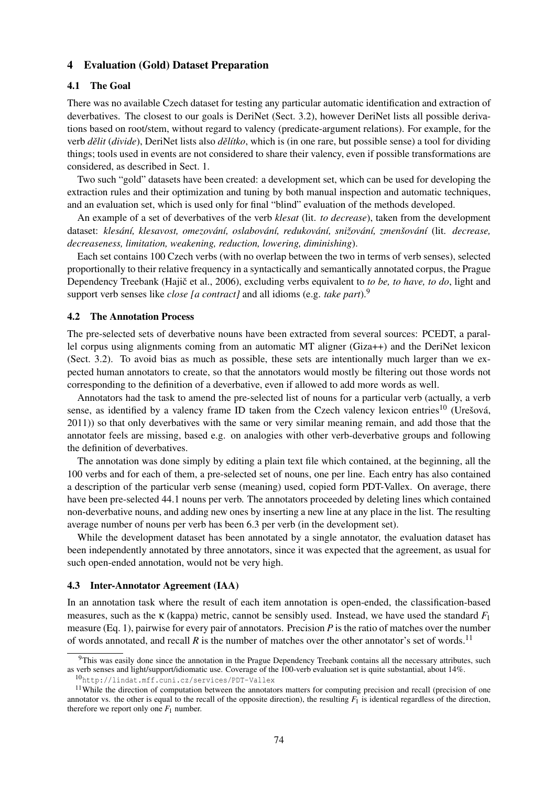#### 4 Evaluation (Gold) Dataset Preparation

#### 4.1 The Goal

There was no available Czech dataset for testing any particular automatic identification and extraction of deverbatives. The closest to our goals is DeriNet (Sect. 3.2), however DeriNet lists all possible derivations based on root/stem, without regard to valency (predicate-argument relations). For example, for the verb *dˇelit* (*divide*), DeriNet lists also *dˇelítko*, which is (in one rare, but possible sense) a tool for dividing things; tools used in events are not considered to share their valency, even if possible transformations are considered, as described in Sect. 1.

Two such "gold" datasets have been created: a development set, which can be used for developing the extraction rules and their optimization and tuning by both manual inspection and automatic techniques, and an evaluation set, which is used only for final "blind" evaluation of the methods developed.

An example of a set of deverbatives of the verb *klesat* (lit. *to decrease*), taken from the development dataset: *klesání, klesavost, omezování, oslabování, redukování, snižování, zmenšování* (lit. *decrease, decreaseness, limitation, weakening, reduction, lowering, diminishing*).

Each set contains 100 Czech verbs (with no overlap between the two in terms of verb senses), selected proportionally to their relative frequency in a syntactically and semantically annotated corpus, the Prague Dependency Treebank (Hajič et al., 2006), excluding verbs equivalent to *to be, to have, to do*, light and support verb senses like *close [a contract]* and all idioms (e.g. *take part*).<sup>9</sup>

#### 4.2 The Annotation Process

The pre-selected sets of deverbative nouns have been extracted from several sources: PCEDT, a parallel corpus using alignments coming from an automatic MT aligner (Giza++) and the DeriNet lexicon (Sect. 3.2). To avoid bias as much as possible, these sets are intentionally much larger than we expected human annotators to create, so that the annotators would mostly be filtering out those words not corresponding to the definition of a deverbative, even if allowed to add more words as well.

Annotators had the task to amend the pre-selected list of nouns for a particular verb (actually, a verb sense, as identified by a valency frame ID taken from the Czech valency lexicon entries<sup>10</sup> (Urešová, 2011)) so that only deverbatives with the same or very similar meaning remain, and add those that the annotator feels are missing, based e.g. on analogies with other verb-deverbative groups and following the definition of deverbatives.

The annotation was done simply by editing a plain text file which contained, at the beginning, all the 100 verbs and for each of them, a pre-selected set of nouns, one per line. Each entry has also contained a description of the particular verb sense (meaning) used, copied form PDT-Vallex. On average, there have been pre-selected 44.1 nouns per verb. The annotators proceeded by deleting lines which contained non-deverbative nouns, and adding new ones by inserting a new line at any place in the list. The resulting average number of nouns per verb has been 6.3 per verb (in the development set).

While the development dataset has been annotated by a single annotator, the evaluation dataset has been independently annotated by three annotators, since it was expected that the agreement, as usual for such open-ended annotation, would not be very high.

#### 4.3 Inter-Annotator Agreement (IAA)

In an annotation task where the result of each item annotation is open-ended, the classification-based measures, such as the κ (kappa) metric, cannot be sensibly used. Instead, we have used the standard *F*<sup>1</sup> measure (Eq. 1), pairwise for every pair of annotators. Precision *P* is the ratio of matches over the number of words annotated, and recall  $R$  is the number of matches over the other annotator's set of words.<sup>11</sup>

<sup>&</sup>lt;sup>9</sup>This was easily done since the annotation in the Prague Dependency Treebank contains all the necessary attributes, such as verb senses and light/support/idiomatic use. Coverage of the 100-verb evaluation set is quite substantial, about 14%.

<sup>10</sup>http://lindat.mff.cuni.cz/services/PDT-Vallex

<sup>&</sup>lt;sup>11</sup>While the direction of computation between the annotators matters for computing precision and recall (precision of one annotator vs. the other is equal to the recall of the opposite direction), the resulting  $F_1$  is identical regardless of the direction, therefore we report only one  $F_1$  number.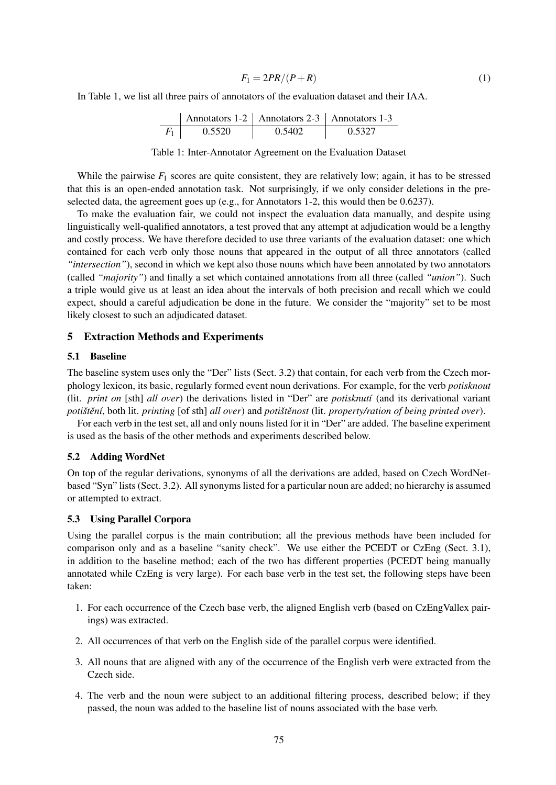$$
F_1 = 2PR/(P+R) \tag{1}
$$

In Table 1, we list all three pairs of annotators of the evaluation dataset and their IAA.

| Annotators 1-2 | Annotators 2-3 | Annotators 1-3 |        |
|----------------|----------------|----------------|--------|
| $F_1$          | 0.5520         | 0.5402         | 0.5327 |

#### Table 1: Inter-Annotator Agreement on the Evaluation Dataset

While the pairwise  $F_1$  scores are quite consistent, they are relatively low; again, it has to be stressed that this is an open-ended annotation task. Not surprisingly, if we only consider deletions in the preselected data, the agreement goes up (e.g., for Annotators 1-2, this would then be 0.6237).

To make the evaluation fair, we could not inspect the evaluation data manually, and despite using linguistically well-qualified annotators, a test proved that any attempt at adjudication would be a lengthy and costly process. We have therefore decided to use three variants of the evaluation dataset: one which contained for each verb only those nouns that appeared in the output of all three annotators (called *"intersection"*), second in which we kept also those nouns which have been annotated by two annotators (called *"majority"*) and finally a set which contained annotations from all three (called *"union"*). Such a triple would give us at least an idea about the intervals of both precision and recall which we could expect, should a careful adjudication be done in the future. We consider the "majority" set to be most likely closest to such an adjudicated dataset.

#### 5 Extraction Methods and Experiments

## 5.1 Baseline

The baseline system uses only the "Der" lists (Sect. 3.2) that contain, for each verb from the Czech morphology lexicon, its basic, regularly formed event noun derivations. For example, for the verb *potisknout* (lit. *print on* [sth] *all over*) the derivations listed in "Der" are *potisknutí* (and its derivational variant *potištění*, both lit. *printing* [of sth] *all over*) and *potištěnost* (lit. *property/ration of being printed over*).

For each verb in the test set, all and only nouns listed for it in "Der" are added. The baseline experiment is used as the basis of the other methods and experiments described below.

### 5.2 Adding WordNet

On top of the regular derivations, synonyms of all the derivations are added, based on Czech WordNetbased "Syn" lists (Sect. 3.2). All synonyms listed for a particular noun are added; no hierarchy is assumed or attempted to extract.

# 5.3 Using Parallel Corpora

Using the parallel corpus is the main contribution; all the previous methods have been included for comparison only and as a baseline "sanity check". We use either the PCEDT or CzEng (Sect. 3.1), in addition to the baseline method; each of the two has different properties (PCEDT being manually annotated while CzEng is very large). For each base verb in the test set, the following steps have been taken:

- 1. For each occurrence of the Czech base verb, the aligned English verb (based on CzEngVallex pairings) was extracted.
- 2. All occurrences of that verb on the English side of the parallel corpus were identified.
- 3. All nouns that are aligned with any of the occurrence of the English verb were extracted from the Czech side.
- 4. The verb and the noun were subject to an additional filtering process, described below; if they passed, the noun was added to the baseline list of nouns associated with the base verb.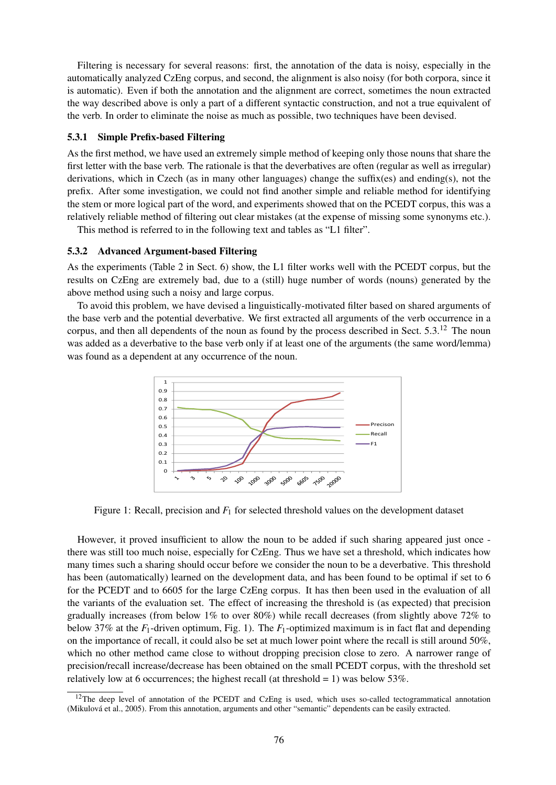Filtering is necessary for several reasons: first, the annotation of the data is noisy, especially in the automatically analyzed CzEng corpus, and second, the alignment is also noisy (for both corpora, since it is automatic). Even if both the annotation and the alignment are correct, sometimes the noun extracted the way described above is only a part of a different syntactic construction, and not a true equivalent of the verb. In order to eliminate the noise as much as possible, two techniques have been devised.

## 5.3.1 Simple Prefix-based Filtering

As the first method, we have used an extremely simple method of keeping only those nouns that share the first letter with the base verb. The rationale is that the deverbatives are often (regular as well as irregular) derivations, which in Czech (as in many other languages) change the suffix(es) and ending(s), not the prefix. After some investigation, we could not find another simple and reliable method for identifying the stem or more logical part of the word, and experiments showed that on the PCEDT corpus, this was a relatively reliable method of filtering out clear mistakes (at the expense of missing some synonyms etc.).

This method is referred to in the following text and tables as "L1 filter".

## 5.3.2 Advanced Argument-based Filtering

As the experiments (Table 2 in Sect. 6) show, the L1 filter works well with the PCEDT corpus, but the results on CzEng are extremely bad, due to a (still) huge number of words (nouns) generated by the above method using such a noisy and large corpus.

To avoid this problem, we have devised a linguistically-motivated filter based on shared arguments of the base verb and the potential deverbative. We first extracted all arguments of the verb occurrence in a corpus, and then all dependents of the noun as found by the process described in Sect. 5.3.<sup>12</sup> The noun was added as a deverbative to the base verb only if at least one of the arguments (the same word/lemma) was found as a dependent at any occurrence of the noun.



Figure 1: Recall, precision and *F*<sup>1</sup> for selected threshold values on the development dataset

However, it proved insufficient to allow the noun to be added if such sharing appeared just once there was still too much noise, especially for CzEng. Thus we have set a threshold, which indicates how many times such a sharing should occur before we consider the noun to be a deverbative. This threshold has been (automatically) learned on the development data, and has been found to be optimal if set to 6 for the PCEDT and to 6605 for the large CzEng corpus. It has then been used in the evaluation of all the variants of the evaluation set. The effect of increasing the threshold is (as expected) that precision gradually increases (from below 1% to over 80%) while recall decreases (from slightly above 72% to below 37% at the *F*1-driven optimum, Fig. 1). The *F*1-optimized maximum is in fact flat and depending on the importance of recall, it could also be set at much lower point where the recall is still around 50%, which no other method came close to without dropping precision close to zero. A narrower range of precision/recall increase/decrease has been obtained on the small PCEDT corpus, with the threshold set relatively low at 6 occurrences; the highest recall (at threshold  $= 1$ ) was below 53%.

 $12$ The deep level of annotation of the PCEDT and CzEng is used, which uses so-called tectogrammatical annotation (Mikulová et al., 2005). From this annotation, arguments and other "semantic" dependents can be easily extracted.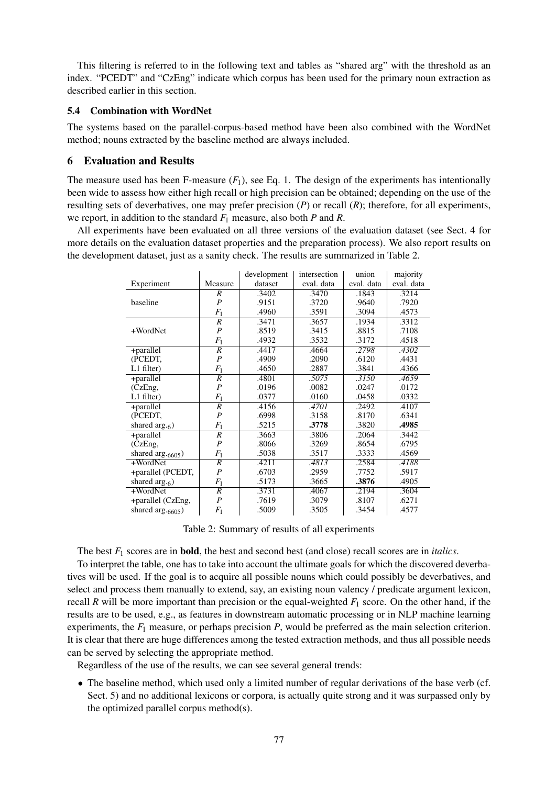This filtering is referred to in the following text and tables as "shared arg" with the threshold as an index. "PCEDT" and "CzEng" indicate which corpus has been used for the primary noun extraction as described earlier in this section.

# 5.4 Combination with WordNet

The systems based on the parallel-corpus-based method have been also combined with the WordNet method; nouns extracted by the baseline method are always included.

# 6 Evaluation and Results

The measure used has been F-measure  $(F_1)$ , see Eq. 1. The design of the experiments has intentionally been wide to assess how either high recall or high precision can be obtained; depending on the use of the resulting sets of deverbatives, one may prefer precision (*P*) or recall (*R*); therefore, for all experiments, we report, in addition to the standard *F*<sup>1</sup> measure, also both *P* and *R*.

All experiments have been evaluated on all three versions of the evaluation dataset (see Sect. 4 for more details on the evaluation dataset properties and the preparation process). We also report results on the development dataset, just as a sanity check. The results are summarized in Table 2.

|                               |                  | development | intersection | union      | majority   |
|-------------------------------|------------------|-------------|--------------|------------|------------|
| Experiment                    | Measure          | dataset     | eval. data   | eval. data | eval. data |
|                               | R                | .3402       | .3470        | .1843      | .3214      |
| baseline                      | $\boldsymbol{P}$ | .9151       | .3720        | .9640      | .7920      |
|                               | $F_1$            | .4960       | .3591        | .3094      | .4573      |
|                               | $\overline{R}$   | .3471       | .3657        | .1934      | .3312      |
| +WordNet                      | $\overline{P}$   | .8519       | .3415        | .8815      | .7108      |
|                               | $F_1$            | .4932       | .3532        | .3172      | .4518      |
| +parallel                     | $\overline{R}$   | .4417       | .4664        | .2798      | .4302      |
| (PCEDT.                       | $\boldsymbol{P}$ | .4909       | .2090        | .6120      | .4431      |
| $L1$ filter)                  | $F_1$            | .4650       | .2887        | .3841      | .4366      |
| +parallel                     | $\overline{R}$   | .4801       | .5075        | .3150      | .4659      |
| (CzEng,                       | $\boldsymbol{P}$ | .0196       | .0082        | .0247      | .0172      |
| $L1$ filter)                  | $F_1$            | .0377       | .0160        | .0458      | .0332      |
| +parallel                     | $\overline{R}$   | .4156       | .4701        | .2492      | .4107      |
| (PCEDT,                       | $\boldsymbol{P}$ | .6998       | .3158        | .8170      | .6341      |
| shared arg. <sub>6</sub> )    | $F_1$            | .5215       | .3778        | .3820      | .4985      |
| +parallel                     | $\overline{R}$   | .3663       | .3806        | .2064      | .3442      |
| (CzEng,                       | $\boldsymbol{P}$ | .8066       | .3269        | .8654      | .6795      |
| shared arg. <sub>6605</sub> ) | $F_1$            | .5038       | .3517        | .3333      | .4569      |
| +WordNet                      | $\boldsymbol{R}$ | .4211       | .4813        | .2584      | .4188      |
| +parallel (PCEDT,             | $\boldsymbol{P}$ | .6703       | .2959        | .7752      | .5917      |
| shared arg. <sub>6</sub> )    | $F_1$            | .5173       | .3665        | .3876      | .4905      |
| +WordNet                      | $\overline{R}$   | .3731       | .4067        | .2194      | .3604      |
| +parallel (CzEng,             | $\overline{P}$   | .7619       | .3079        | .8107      | .6271      |
| shared arg. <sub>6605</sub> ) | $F_1$            | .5009       | .3505        | .3454      | .4577      |

Table 2: Summary of results of all experiments

The best *F*<sup>1</sup> scores are in bold, the best and second best (and close) recall scores are in *italics*.

To interpret the table, one has to take into account the ultimate goals for which the discovered deverbatives will be used. If the goal is to acquire all possible nouns which could possibly be deverbatives, and select and process them manually to extend, say, an existing noun valency / predicate argument lexicon, recall *R* will be more important than precision or the equal-weighted  $F_1$  score. On the other hand, if the results are to be used, e.g., as features in downstream automatic processing or in NLP machine learning experiments, the *F*<sup>1</sup> measure, or perhaps precision *P*, would be preferred as the main selection criterion. It is clear that there are huge differences among the tested extraction methods, and thus all possible needs can be served by selecting the appropriate method.

Regardless of the use of the results, we can see several general trends:

• The baseline method, which used only a limited number of regular derivations of the base verb (cf. Sect. 5) and no additional lexicons or corpora, is actually quite strong and it was surpassed only by the optimized parallel corpus method(s).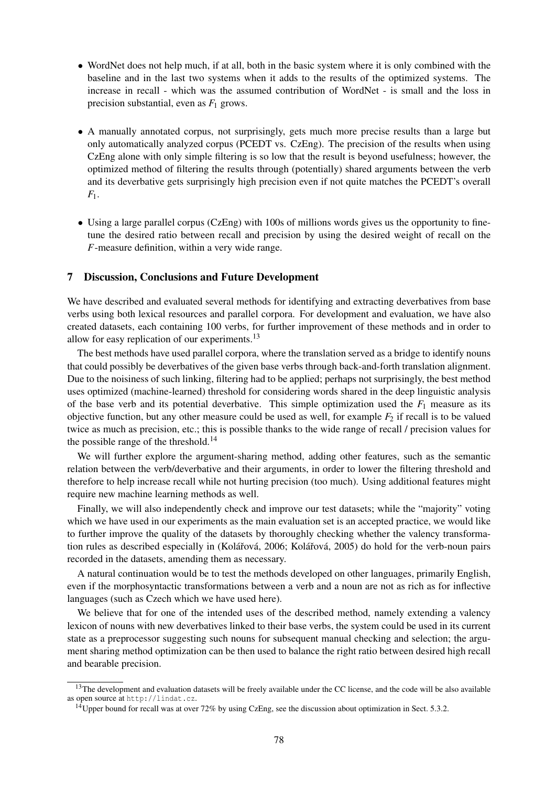- WordNet does not help much, if at all, both in the basic system where it is only combined with the baseline and in the last two systems when it adds to the results of the optimized systems. The increase in recall - which was the assumed contribution of WordNet - is small and the loss in precision substantial, even as  $F_1$  grows.
- A manually annotated corpus, not surprisingly, gets much more precise results than a large but only automatically analyzed corpus (PCEDT vs. CzEng). The precision of the results when using CzEng alone with only simple filtering is so low that the result is beyond usefulness; however, the optimized method of filtering the results through (potentially) shared arguments between the verb and its deverbative gets surprisingly high precision even if not quite matches the PCEDT's overall *F*1.
- Using a large parallel corpus (CzEng) with 100s of millions words gives us the opportunity to finetune the desired ratio between recall and precision by using the desired weight of recall on the *F*-measure definition, within a very wide range.

### 7 Discussion, Conclusions and Future Development

We have described and evaluated several methods for identifying and extracting deverbatives from base verbs using both lexical resources and parallel corpora. For development and evaluation, we have also created datasets, each containing 100 verbs, for further improvement of these methods and in order to allow for easy replication of our experiments.<sup>13</sup>

The best methods have used parallel corpora, where the translation served as a bridge to identify nouns that could possibly be deverbatives of the given base verbs through back-and-forth translation alignment. Due to the noisiness of such linking, filtering had to be applied; perhaps not surprisingly, the best method uses optimized (machine-learned) threshold for considering words shared in the deep linguistic analysis of the base verb and its potential deverbative. This simple optimization used the  $F_1$  measure as its objective function, but any other measure could be used as well, for example  $F_2$  if recall is to be valued twice as much as precision, etc.; this is possible thanks to the wide range of recall / precision values for the possible range of the threshold.<sup>14</sup>

We will further explore the argument-sharing method, adding other features, such as the semantic relation between the verb/deverbative and their arguments, in order to lower the filtering threshold and therefore to help increase recall while not hurting precision (too much). Using additional features might require new machine learning methods as well.

Finally, we will also independently check and improve our test datasets; while the "majority" voting which we have used in our experiments as the main evaluation set is an accepted practice, we would like to further improve the quality of the datasets by thoroughly checking whether the valency transformation rules as described especially in (Kolářová, 2006; Kolářová, 2005) do hold for the verb-noun pairs recorded in the datasets, amending them as necessary.

A natural continuation would be to test the methods developed on other languages, primarily English, even if the morphosyntactic transformations between a verb and a noun are not as rich as for inflective languages (such as Czech which we have used here).

We believe that for one of the intended uses of the described method, namely extending a valency lexicon of nouns with new deverbatives linked to their base verbs, the system could be used in its current state as a preprocessor suggesting such nouns for subsequent manual checking and selection; the argument sharing method optimization can be then used to balance the right ratio between desired high recall and bearable precision.

 $13$ The development and evaluation datasets will be freely available under the CC license, and the code will be also available as open source at http://lindat.cz.

<sup>&</sup>lt;sup>14</sup>Upper bound for recall was at over 72% by using CzEng, see the discussion about optimization in Sect. 5.3.2.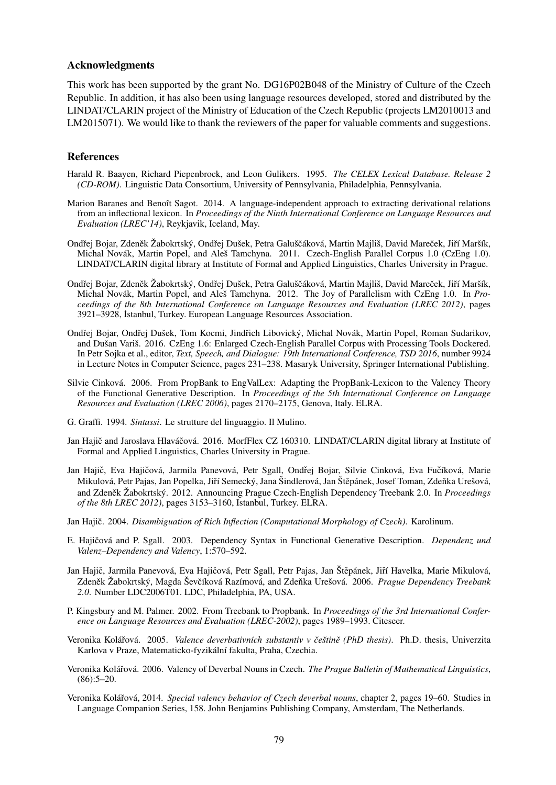#### Acknowledgments

This work has been supported by the grant No. DG16P02B048 of the Ministry of Culture of the Czech Republic. In addition, it has also been using language resources developed, stored and distributed by the LINDAT/CLARIN project of the Ministry of Education of the Czech Republic (projects LM2010013 and LM2015071). We would like to thank the reviewers of the paper for valuable comments and suggestions.

### References

- Harald R. Baayen, Richard Piepenbrock, and Leon Gulikers. 1995. *The CELEX Lexical Database. Release 2 (CD-ROM)*. Linguistic Data Consortium, University of Pennsylvania, Philadelphia, Pennsylvania.
- Marion Baranes and Benoît Sagot. 2014. A language-independent approach to extracting derivational relations from an inflectional lexicon. In *Proceedings of the Ninth International Conference on Language Resources and Evaluation (LREC'14)*, Reykjavik, Iceland, May.
- Ondřej Bojar, Zdeněk Žabokrtský, Ondřej Dušek, Petra Galuščáková, Martin Majliš, David Mareček, Jiří Maršík, Michal Novák, Martin Popel, and Aleš Tamchyna. 2011. Czech-English Parallel Corpus 1.0 (CzEng 1.0). LINDAT/CLARIN digital library at Institute of Formal and Applied Linguistics, Charles University in Prague.
- Ondřej Bojar, Zdeněk Žabokrtský, Ondřej Dušek, Petra Galuščáková, Martin Majliš, David Mareček, Jiří Maršík, Michal Novák, Martin Popel, and Aleš Tamchyna. 2012. The Joy of Parallelism with CzEng 1.0. In *Proceedings of the 8th International Conference on Language Resources and Evaluation (LREC 2012)*, pages 3921–3928, ˙Istanbul, Turkey. European Language Resources Association.
- Ondřej Bojar, Ondřej Dušek, Tom Kocmi, Jindřich Libovický, Michal Novák, Martin Popel, Roman Sudarikov, and Dušan Variš. 2016. CzEng 1.6: Enlarged Czech-English Parallel Corpus with Processing Tools Dockered. In Petr Sojka et al., editor, *Text, Speech, and Dialogue: 19th International Conference, TSD 2016*, number 9924 in Lecture Notes in Computer Science, pages 231–238. Masaryk University, Springer International Publishing.
- Silvie Cinková. 2006. From PropBank to EngValLex: Adapting the PropBank-Lexicon to the Valency Theory of the Functional Generative Description. In *Proceedings of the 5th International Conference on Language Resources and Evaluation (LREC 2006)*, pages 2170–2175, Genova, Italy. ELRA.
- G. Graffi. 1994. *Sintassi*. Le strutture del linguaggio. Il Mulino.
- Jan Hajič and Jaroslava Hlaváčová. 2016. MorfFlex CZ 160310. LINDAT/CLARIN digital library at Institute of Formal and Applied Linguistics, Charles University in Prague.
- Jan Hajič, Eva Hajičová, Jarmila Panevová, Petr Sgall, Ondřej Bojar, Silvie Cinková, Eva Fučíková, Marie Mikulová, Petr Pajas, Jan Popelka, Jiří Semecký, Jana Šindlerová, Jan Štěpánek, Josef Toman, Zdeňka Urešová, and Zdeněk Žabokrtský. 2012. Announcing Prague Czech-English Dependency Treebank 2.0. In *Proceedings of the 8th LREC 2012)*, pages 3153–3160, Istanbul, Turkey. ELRA.
- Jan Hajič. 2004. *Disambiguation of Rich Inflection (Computational Morphology of Czech)*. Karolinum.
- E. Hajičová and P. Sgall. 2003. Dependency Syntax in Functional Generative Description. *Dependenz und Valenz–Dependency and Valency*, 1:570–592.
- Jan Hajič, Jarmila Panevová, Eva Hajičová, Petr Sgall, Petr Pajas, Jan Štěpánek, Jiří Havelka, Marie Mikulová, Zdeněk Žabokrtský, Magda Ševčíková Razímová, and Zdeňka Urešová. 2006. Prague Dependency Treebank *2.0*. Number LDC2006T01. LDC, Philadelphia, PA, USA.
- P. Kingsbury and M. Palmer. 2002. From Treebank to Propbank. In *Proceedings of the 3rd International Conference on Language Resources and Evaluation (LREC-2002)*, pages 1989–1993. Citeseer.
- Veronika Kolářová. 2005. *Valence deverbativních substantiv v češtině (PhD thesis)*. Ph.D. thesis, Univerzita Karlova v Praze, Matematicko-fyzikální fakulta, Praha, Czechia.
- Veronika Koláˇrová. 2006. Valency of Deverbal Nouns in Czech. *The Prague Bulletin of Mathematical Linguistics*,  $(86):5-20.$
- Veronika Koláˇrová, 2014. *Special valency behavior of Czech deverbal nouns*, chapter 2, pages 19–60. Studies in Language Companion Series, 158. John Benjamins Publishing Company, Amsterdam, The Netherlands.